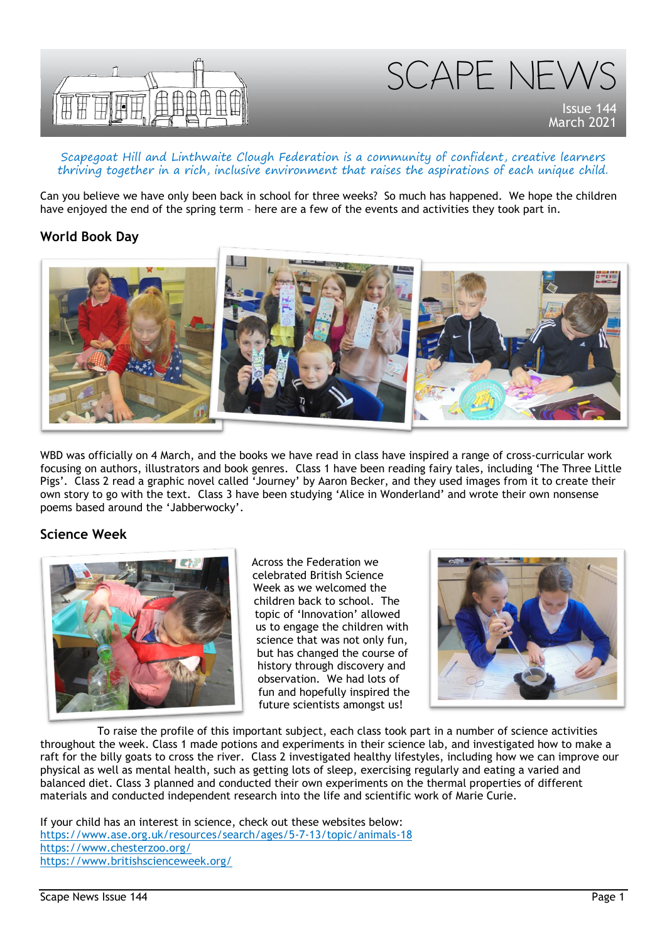



#### Scapegoat Hill and Linthwaite Clough Federation is a community of confident, creative learners thriving together in a rich, inclusive environment that raises the aspirations of each unique child.

Can you believe we have only been back in school for three weeks? So much has happened. We hope the children have enjoyed the end of the spring term – here are a few of the events and activities they took part in.

#### **World Book Day**



WBD was officially on 4 March, and the books we have read in class have inspired a range of cross-curricular work focusing on authors, illustrators and book genres. Class 1 have been reading fairy tales, including 'The Three Little Pigs'. Class 2 read a graphic novel called 'Journey' by Aaron Becker, and they used images from it to create their own story to go with the text. Class 3 have been studying 'Alice in Wonderland' and wrote their own nonsense poems based around the 'Jabberwocky'.

### **Science Week**



Across the Federation we celebrated British Science Week as we welcomed the children back to school. The topic of 'Innovation' allowed us to engage the children with science that was not only fun, but has changed the course of history through discovery and observation. We had lots of fun and hopefully inspired the future scientists amongst us!



To raise the profile of this important subject, each class took part in a number of science activities throughout the week. Class 1 made potions and experiments in their science lab, and investigated how to make a raft for the billy goats to cross the river. Class 2 investigated healthy lifestyles, including how we can improve our physical as well as mental health, such as getting lots of sleep, exercising regularly and eating a varied and balanced diet. Class 3 planned and conducted their own experiments on the thermal properties of different materials and conducted independent research into the life and scientific work of Marie Curie.

If your child has an interest in science, check out these websites below: <https://www.ase.org.uk/resources/search/ages/5-7-13/topic/animals-18> <https://www.chesterzoo.org/> <https://www.britishscienceweek.org/>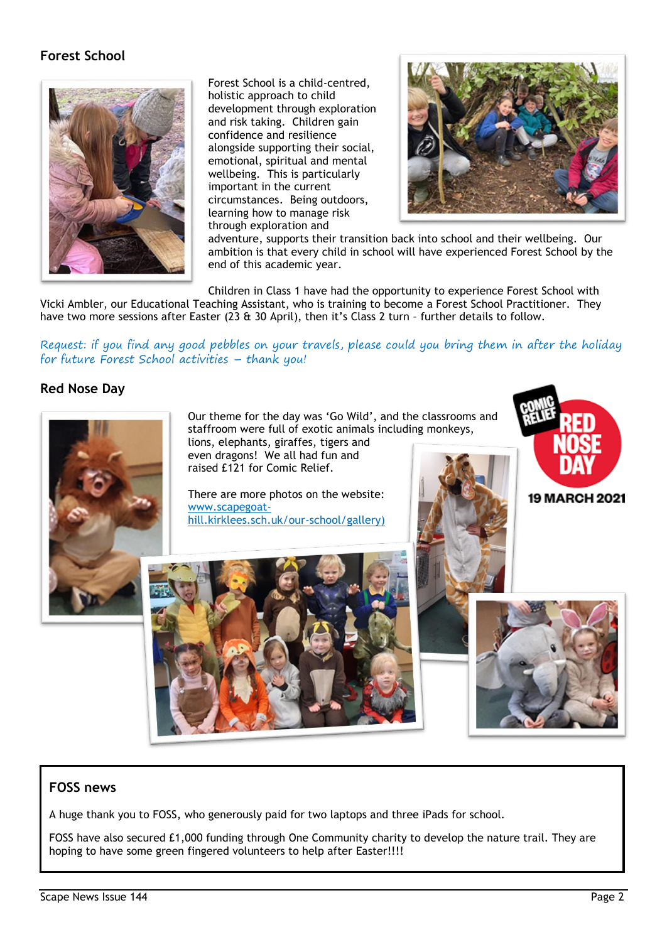# **Forest School**



Forest School is a child-centred, holistic approach to child development through exploration and risk taking. Children gain confidence and resilience alongside supporting their social, emotional, spiritual and mental wellbeing. This is particularly important in the current circumstances. Being outdoors, learning how to manage risk through exploration and



adventure, supports their transition back into school and their wellbeing. Our ambition is that every child in school will have experienced Forest School by the end of this academic year.

Children in Class 1 have had the opportunity to experience Forest School with Vicki Ambler, our Educational Teaching Assistant, who is training to become a Forest School Practitioner. They have two more sessions after Easter (23 & 30 April), then it's Class 2 turn - further details to follow.

Request: if you find any good pebbles on your travels, please could you bring them in after the holiday for future Forest School activities – thank you!

### **Red Nose Day**



### **FOSS news**

A huge thank you to FOSS, who generously paid for two laptops and three iPads for school.

FOSS have also secured £1,000 funding through One Community charity to develop the nature trail. They are hoping to have some green fingered volunteers to help after Easter!!!!